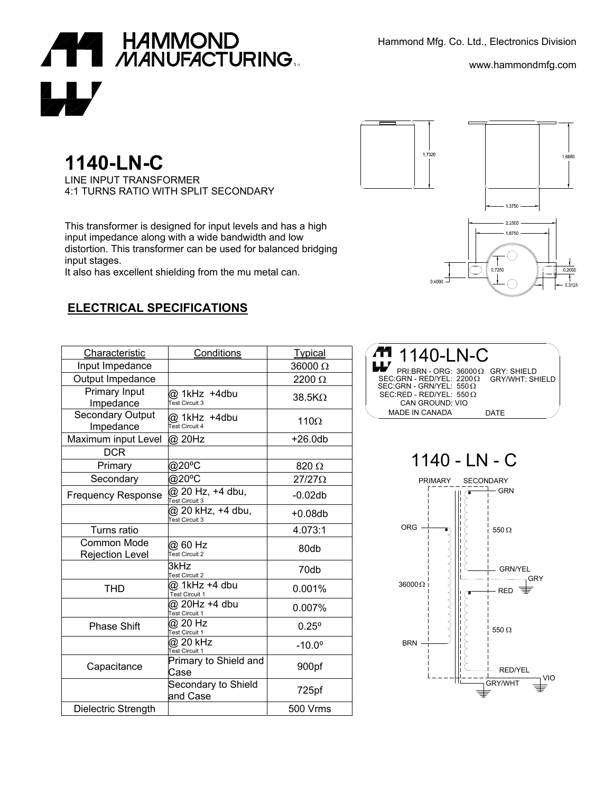Hammond Mfg. Co. Ltd., Electronics Division



www.hammondmfg.com

## **1140-LN-C**

LINE INPUT TRANSFORMER 4:1 TURNS RATIO WITH SPLIT SECONDARY

This transformer is designed for input levels and has a high input impedance along with a wide bandwidth and low distortion. This transformer can be used for balanced bridging input stages.

It also has excellent shielding from the mu metal can.

## **ELECTRICAL SPECIFICATIONS**

| Characteristic                               | Conditions                          | <b>Typical</b>  |
|----------------------------------------------|-------------------------------------|-----------------|
| Input Impedance                              |                                     | 36000 Ω         |
| Output Impedance                             |                                     | 2200 Ω          |
| Primary Input<br>Impedance                   | @ 1kHz +4dbu<br>Test Circuit 3      | $38.5K\Omega$   |
| Secondary Output<br>Impedance                | @ 1kHz +4dbu<br>Test Circuit 4      | $110\Omega$     |
| Maximum input Level                          | @ 20Hz                              | $+26.0db$       |
| <b>DCR</b>                                   |                                     |                 |
| Primary                                      | @20°C                               | 820 Ω           |
| Secondary                                    | @20°C                               | $27/27\Omega$   |
| <b>Frequency Response</b>                    | @ 20 Hz, +4 dbu,<br>Test Circuit 3  | $-0.02db$       |
|                                              | @ 20 kHz, +4 dbu,<br>Test Circuit 3 | $+0.08db$       |
| Turns ratio                                  |                                     | 4.073:1         |
| <b>Common Mode</b><br><b>Rejection Level</b> | @ 60 Hz<br>Test Circuit 2           | 80db            |
|                                              | 3kHz<br><b>Test Circuit 2</b>       | 70db            |
| <b>THD</b>                                   | @ 1kHz +4 dbu<br>Test Circuit 1     | 0.001%          |
|                                              | @ 20Hz +4 dbu<br>Test Circuit 1     | 0.007%          |
| <b>Phase Shift</b>                           | @ 20 Hz<br>Test Circuit 1           | $0.25^{\circ}$  |
|                                              | @ 20 kHz<br><b>Test Circuit 1</b>   | $-10.0^{\circ}$ |
| Capacitance                                  | Primary to Shield and<br>Case       | 900pf           |
|                                              | Secondary to Shield<br>and Case     | 725pf           |
| Dielectric Strength                          |                                     | <b>500 Vrms</b> |



| Æ<br>1140-LN-C<br>W                                                                                                                      |                        |
|------------------------------------------------------------------------------------------------------------------------------------------|------------------------|
| $PRI:BRN - ORG: 36000O: GRY: SHIELD$<br>SEC:GRN - RED/YEL: $2200\Omega$<br>SEC:GRN - GRN/YEL: 550 $\Omega$<br>$SEC:RED - RED/YEL: 550 O$ | <b>GRY/WHT: SHIELD</b> |
| CAN GROUND: VIO                                                                                                                          |                        |
| <b>MADE IN CANADA</b>                                                                                                                    | DATF                   |